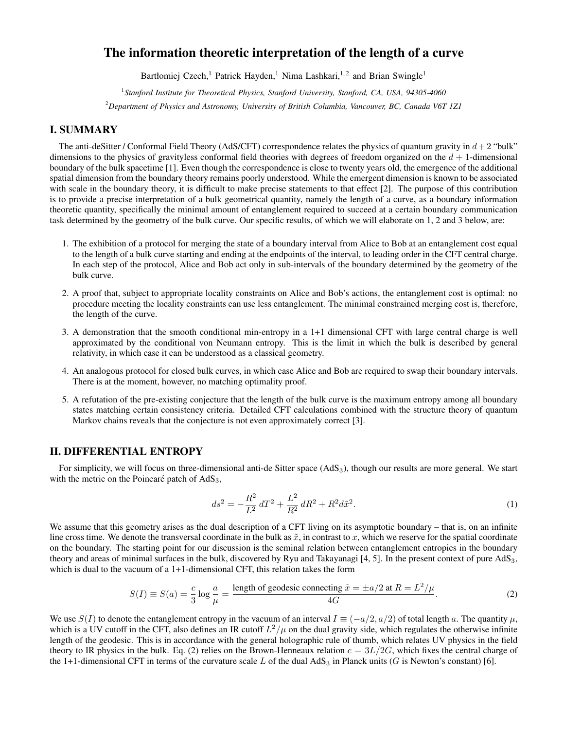# The information theoretic interpretation of the length of a curve

Bartłomiej Czech,<sup>1</sup> Patrick Hayden,<sup>1</sup> Nima Lashkari,<sup>1,2</sup> and Brian Swingle<sup>1</sup>

<sup>1</sup> Stanford Institute for Theoretical Physics, Stanford University, Stanford, CA, USA, 94305-4060

<sup>2</sup>*Department of Physics and Astronomy, University of British Columbia, Vancouver, BC, Canada V6T 1Z1*

# I. SUMMARY

The anti-deSitter / Conformal Field Theory (AdS/CFT) correspondence relates the physics of quantum gravity in  $d+2$  "bulk" dimensions to the physics of gravityless conformal field theories with degrees of freedom organized on the  $d + 1$ -dimensional boundary of the bulk spacetime [1]. Even though the correspondence is close to twenty years old, the emergence of the additional spatial dimension from the boundary theory remains poorly understood. While the emergent dimension is known to be associated with scale in the boundary theory, it is difficult to make precise statements to that effect [2]. The purpose of this contribution is to provide a precise interpretation of a bulk geometrical quantity, namely the length of a curve, as a boundary information theoretic quantity, specifically the minimal amount of entanglement required to succeed at a certain boundary communication task determined by the geometry of the bulk curve. Our specific results, of which we will elaborate on 1, 2 and 3 below, are:

- 1. The exhibition of a protocol for merging the state of a boundary interval from Alice to Bob at an entanglement cost equal to the length of a bulk curve starting and ending at the endpoints of the interval, to leading order in the CFT central charge. In each step of the protocol, Alice and Bob act only in sub-intervals of the boundary determined by the geometry of the bulk curve.
- 2. A proof that, subject to appropriate locality constraints on Alice and Bob's actions, the entanglement cost is optimal: no procedure meeting the locality constraints can use less entanglement. The minimal constrained merging cost is, therefore, the length of the curve.
- 3. A demonstration that the smooth conditional min-entropy in a 1+1 dimensional CFT with large central charge is well approximated by the conditional von Neumann entropy. This is the limit in which the bulk is described by general relativity, in which case it can be understood as a classical geometry.
- 4. An analogous protocol for closed bulk curves, in which case Alice and Bob are required to swap their boundary intervals. There is at the moment, however, no matching optimality proof.
- 5. A refutation of the pre-existing conjecture that the length of the bulk curve is the maximum entropy among all boundary states matching certain consistency criteria. Detailed CFT calculations combined with the structure theory of quantum Markov chains reveals that the conjecture is not even approximately correct [3].

## II. DIFFERENTIAL ENTROPY

For simplicity, we will focus on three-dimensional anti-de Sitter space  $(AdS<sub>3</sub>)$ , though our results are more general. We start with the metric on the Poincaré patch of  $AdS_3$ ,

$$
ds^{2} = -\frac{R^{2}}{L^{2}} dT^{2} + \frac{L^{2}}{R^{2}} dR^{2} + R^{2} d\tilde{x}^{2}.
$$
 (1)

We assume that this geometry arises as the dual description of a CFT living on its asymptotic boundary – that is, on an infinite line cross time. We denote the transversal coordinate in the bulk as  $\tilde{x}$ , in contrast to x, which we reserve for the spatial coordinate on the boundary. The starting point for our discussion is the seminal relation between entanglement entropies in the boundary theory and areas of minimal surfaces in the bulk, discovered by Ryu and Takayanagi [4, 5]. In the present context of pure AdS3, which is dual to the vacuum of a 1+1-dimensional CFT, this relation takes the form

$$
S(I) \equiv S(a) = \frac{c}{3} \log \frac{a}{\mu} = \frac{\text{length of geodesic connecting } \tilde{x} = \pm a/2 \text{ at } R = L^2/\mu}{4G}.
$$
 (2)

We use  $S(I)$  to denote the entanglement entropy in the vacuum of an interval  $I \equiv (-a/2, a/2)$  of total length a. The quantity  $\mu$ , which is a UV cutoff in the CFT, also defines an IR cutoff  $L^2/\mu$  on the dual gravity side, which regulates the otherwise infinite length of the geodesic. This is in accordance with the general holographic rule of thumb, which relates UV physics in the field theory to IR physics in the bulk. Eq. (2) relies on the Brown-Henneaux relation  $c = 3L/2G$ , which fixes the central charge of the 1+1-dimensional CFT in terms of the curvature scale L of the dual  $AdS_3$  in Planck units (G is Newton's constant) [6].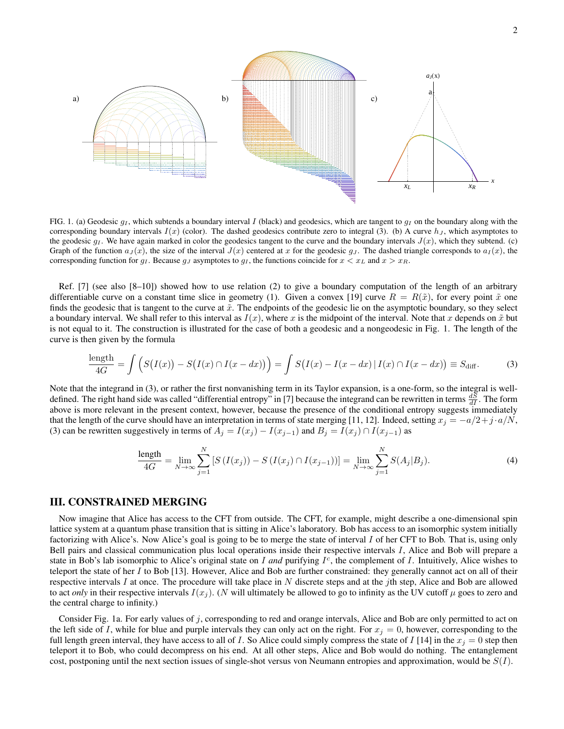

FIG. 1. (a) Geodesic  $g_I$ , which subtends a boundary interval I (black) and geodesics, which are tangent to  $g_I$  on the boundary along with the corresponding boundary intervals  $I(x)$  (color). The dashed geodesics contribute zero to integral (3). (b) A curve  $h<sub>J</sub>$ , which asymptotes to the geodesic  $g_I$ . We have again marked in color the geodesics tangent to the curve and the boundary intervals  $J(x)$ , which they subtend. (c) Graph of the function  $a_J(x)$ , the size of the interval  $J(x)$  centered at x for the geodesic g<sub>J</sub>. The dashed triangle corresponds to  $a_I(x)$ , the corresponding function for  $g_I$ . Because  $g_J$  asymptotes to  $g_I$ , the functions coincide for  $x < x_L$  and  $x > x_R$ .

Ref. [7] (see also [8–10]) showed how to use relation (2) to give a boundary computation of the length of an arbitrary differentiable curve on a constant time slice in geometry (1). Given a convex [19] curve  $R = R(\tilde{x})$ , for every point  $\tilde{x}$  one finds the geodesic that is tangent to the curve at  $\tilde{x}$ . The endpoints of the geodesic lie on the asymptotic boundary, so they select a boundary interval. We shall refer to this interval as  $I(x)$ , where x is the midpoint of the interval. Note that x depends on  $\tilde{x}$  but is not equal to it. The construction is illustrated for the case of both a geodesic and a nongeodesic in Fig. 1. The length of the curve is then given by the formula

$$
\frac{\text{length}}{4G} = \int \left( S(I(x)) - S(I(x) \cap I(x - dx)) \right) = \int S(I(x) - I(x - dx) | I(x) \cap I(x - dx)) \equiv S_{\text{diff}}.
$$
 (3)

Note that the integrand in (3), or rather the first nonvanishing term in its Taylor expansion, is a one-form, so the integral is welldefined. The right hand side was called "differential entropy" in [7] because the integrand can be rewritten in terms  $\frac{dS}{dI}$ . The form above is more relevant in the present context, however, because the presence of the conditional entropy suggests immediately that the length of the curve should have an interpretation in terms of state merging [11, 12]. Indeed, setting  $x_j = -a/2 + j \cdot a/N$ , (3) can be rewritten suggestively in terms of  $A_i = I(x_i) - I(x_{i-1})$  and  $B_i = I(x_i) \cap I(x_{i-1})$  as

$$
\frac{\text{length}}{4G} = \lim_{N \to \infty} \sum_{j=1}^{N} \left[ S\left( I(x_j) \right) - S\left( I(x_j) \cap I(x_{j-1}) \right) \right] = \lim_{N \to \infty} \sum_{j=1}^{N} S(A_j | B_j). \tag{4}
$$

## III. CONSTRAINED MERGING

Now imagine that Alice has access to the CFT from outside. The CFT, for example, might describe a one-dimensional spin lattice system at a quantum phase transition that is sitting in Alice's laboratory. Bob has access to an isomorphic system initially factorizing with Alice's. Now Alice's goal is going to be to merge the state of interval I of her CFT to Bob. That is, using only Bell pairs and classical communication plus local operations inside their respective intervals I, Alice and Bob will prepare a state in Bob's lab isomorphic to Alice's original state on  $I$  and purifying  $I^c$ , the complement of  $I$ . Intuitively, Alice wishes to teleport the state of her  $I$  to Bob [13]. However, Alice and Bob are further constrained: they generally cannot act on all of their respective intervals I at once. The procedure will take place in N discrete steps and at the jth step, Alice and Bob are allowed to act *only* in their respective intervals  $I(x_j)$ . (N will ultimately be allowed to go to infinity as the UV cutoff  $\mu$  goes to zero and the central charge to infinity.)

Consider Fig. 1a. For early values of j, corresponding to red and orange intervals, Alice and Bob are only permitted to act on the left side of I, while for blue and purple intervals they can only act on the right. For  $x_j = 0$ , however, corresponding to the full length green interval, they have access to all of I. So Alice could simply compress the state of I [14] in the  $x_j = 0$  step then teleport it to Bob, who could decompress on his end. At all other steps, Alice and Bob would do nothing. The entanglement cost, postponing until the next section issues of single-shot versus von Neumann entropies and approximation, would be  $S(I)$ .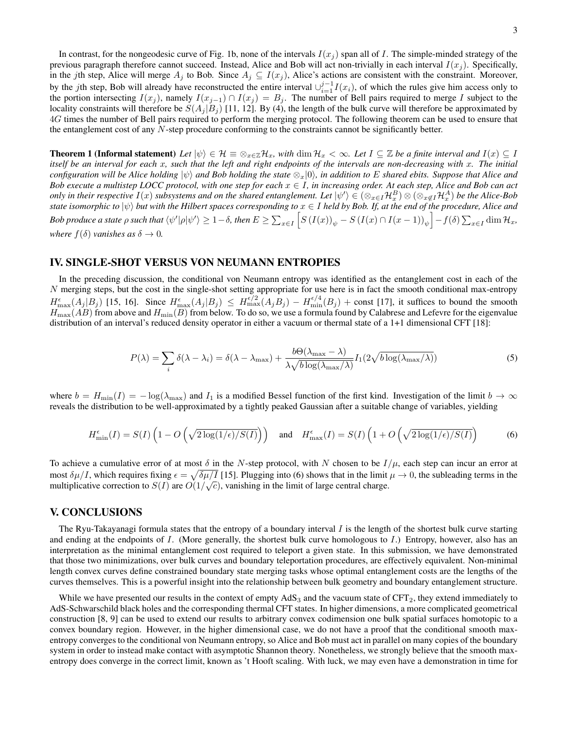In contrast, for the nongeodesic curve of Fig. 1b, none of the intervals  $I(x_j)$  span all of I. The simple-minded strategy of the previous paragraph therefore cannot succeed. Instead, Alice and Bob will act non-trivially in each interval  $I(x_i)$ . Specifically, in the jth step, Alice will merge  $A_j$  to Bob. Since  $A_j \subseteq I(x_j)$ , Alice's actions are consistent with the constraint. Moreover, by the jth step, Bob will already have reconstructed the entire interval  $\bigcup_{i=1}^{j-1} I(x_i)$ , of which the rules give him access only to the portion intersecting  $I(x_j)$ , namely  $I(x_{j-1}) \cap I(x_j) = B_j$ . The number of Bell pairs required to merge I subject to the locality constraints will therefore be  $S(A_i|B_i)$  [11, 12]. By (4), the length of the bulk curve will therefore be approximated by 4G times the number of Bell pairs required to perform the merging protocol. The following theorem can be used to ensure that the entanglement cost of any N-step procedure conforming to the constraints cannot be significantly better.

**Theorem 1 (Informal statement)** Let  $|\psi\rangle \in \mathcal{H} \equiv \otimes_{x \in \mathbb{Z}} \mathcal{H}_x$ , with  $\dim \mathcal{H}_x < \infty$ . Let  $I \subseteq \mathbb{Z}$  be a finite interval and  $I(x) \subseteq I$ *itself be an interval for each* x*, such that the left and right endpoints of the intervals are non-decreasing with* x*. The initial configuration will be Alice holding*  $|\psi\rangle$  *and Bob holding the state*  $\otimes_x |0\rangle$ *, in addition to* E *shared ebits. Suppose that Alice and Bob execute a multistep LOCC protocol, with one step for each*  $x \in I$ *, in increasing order. At each step, Alice and Bob can act* only in their respective  $I(x)$  subsystems and on the shared entanglement. Let  $\ket{\psi'}\in(\otimes_{x\in I}{\cal H}^B_x)\otimes(\otimes_{x\not\in I}{\cal H}^A_x)$  be the Alice-Bob *state isomorphic to*  $|\psi\rangle$  *but with the Hilbert spaces corresponding to*  $x \in I$  *held by Bob. If, at the end of the procedure, Alice and* Bob produce a state  $\rho$  such that  $\braket{\psi'|\rho|\psi'}\geq 1-\delta$ , then  $E\geq \sum_{x\in I} \Big[S\left(I(x)\right)_\psi - S\left(I(x)\cap I(x-1)\right)_\psi\Big]-f(\delta)\sum_{x\in I}\dim \mathcal{H}_x$ , *where*  $f(\delta)$  *vanishes as*  $\delta \to 0$ *.* 

### IV. SINGLE-SHOT VERSUS VON NEUMANN ENTROPIES

In the preceding discussion, the conditional von Neumann entropy was identified as the entanglement cost in each of the N merging steps, but the cost in the single-shot setting appropriate for use here is in fact the smooth conditional max-entropy  $H_{\text{max}}^{\epsilon}(A_j|B_j)$  [15, 16]. Since  $H_{\text{max}}^{\epsilon}(A_j|B_j) \leq H_{\text{max}}^{\epsilon/2}(A_jB_j) - H_{\text{min}}^{\epsilon/4}(B_j) + \text{const}$  [17], it suffices to bound the smooth  $H_{\rm max}(AB)$  from above and  $H_{\rm min}(B)$  from below. To do so, we use a formula found by Calabrese and Lefevre for the eigenvalue distribution of an interval's reduced density operator in either a vacuum or thermal state of a 1+1 dimensional CFT [18]:

$$
P(\lambda) = \sum_{i} \delta(\lambda - \lambda_i) = \delta(\lambda - \lambda_{\max}) + \frac{b\Theta(\lambda_{\max} - \lambda)}{\lambda \sqrt{b \log(\lambda_{\max}/\lambda)}} I_1(2\sqrt{b \log(\lambda_{\max}/\lambda)})
$$
(5)

where  $b = H_{\text{min}}(I) = -\log(\lambda_{\text{max}})$  and  $I_1$  is a modified Bessel function of the first kind. Investigation of the limit  $b \to \infty$ reveals the distribution to be well-approximated by a tightly peaked Gaussian after a suitable change of variables, yielding

$$
H_{\min}^{\epsilon}(I) = S(I) \left( 1 - O\left(\sqrt{2\log(1/\epsilon)/S(I)}\right) \right) \quad \text{and} \quad H_{\max}^{\epsilon}(I) = S(I) \left( 1 + O\left(\sqrt{2\log(1/\epsilon)/S(I)}\right) \right) \tag{6}
$$

To achieve a cumulative error of at most  $\delta$  in the N-step protocol, with N chosen to be  $I/\mu$ , each step can incur an error at most  $\delta \mu / I$ , which requires fixing  $\epsilon = \sqrt{\delta \mu / I}$  [15]. Plugging into (6) shows that in the limit  $\mu \to 0$ , the subleading terms in the multiplicative correction to  $S(I)$  are  $O(1/\sqrt{c})$ , vanishing in the limit of large central charge.

#### V. CONCLUSIONS

The Ryu-Takayanagi formula states that the entropy of a boundary interval  $I$  is the length of the shortest bulk curve starting and ending at the endpoints of  $I$ . (More generally, the shortest bulk curve homologous to  $I$ .) Entropy, however, also has an interpretation as the minimal entanglement cost required to teleport a given state. In this submission, we have demonstrated that those two minimizations, over bulk curves and boundary teleportation procedures, are effectively equivalent. Non-minimal length convex curves define constrained boundary state merging tasks whose optimal entanglement costs are the lengths of the curves themselves. This is a powerful insight into the relationship between bulk geometry and boundary entanglement structure.

While we have presented our results in the context of empty  $AdS_3$  and the vacuum state of CFT<sub>2</sub>, they extend immediately to AdS-Schwarschild black holes and the corresponding thermal CFT states. In higher dimensions, a more complicated geometrical construction [8, 9] can be used to extend our results to arbitrary convex codimension one bulk spatial surfaces homotopic to a convex boundary region. However, in the higher dimensional case, we do not have a proof that the conditional smooth maxentropy converges to the conditional von Neumann entropy, so Alice and Bob must act in parallel on many copies of the boundary system in order to instead make contact with asymptotic Shannon theory. Nonetheless, we strongly believe that the smooth maxentropy does converge in the correct limit, known as 't Hooft scaling. With luck, we may even have a demonstration in time for